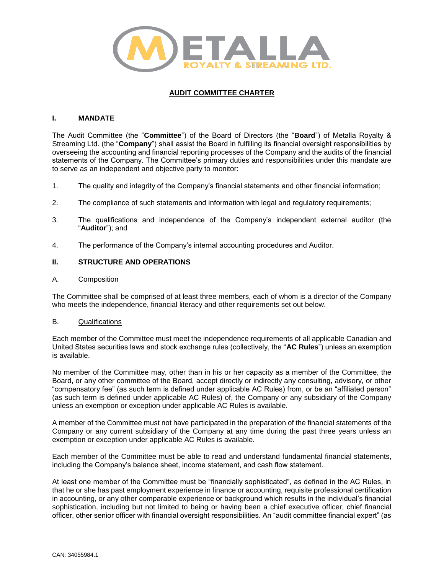

# **AUDIT COMMITTEE CHARTER**

## **I. MANDATE**

The Audit Committee (the "**Committee**") of the Board of Directors (the "**Board**") of Metalla Royalty & Streaming Ltd. (the "**Company**") shall assist the Board in fulfilling its financial oversight responsibilities by overseeing the accounting and financial reporting processes of the Company and the audits of the financial statements of the Company. The Committee's primary duties and responsibilities under this mandate are to serve as an independent and objective party to monitor:

- 1. The quality and integrity of the Company's financial statements and other financial information;
- 2. The compliance of such statements and information with legal and regulatory requirements;
- 3. The qualifications and independence of the Company's independent external auditor (the "**Auditor**"); and
- 4. The performance of the Company's internal accounting procedures and Auditor.

## **II. STRUCTURE AND OPERATIONS**

### A. Composition

The Committee shall be comprised of at least three members, each of whom is a director of the Company who meets the independence, financial literacy and other requirements set out below.

### B. Qualifications

Each member of the Committee must meet the independence requirements of all applicable Canadian and United States securities laws and stock exchange rules (collectively, the "**AC Rules**") unless an exemption is available.

No member of the Committee may, other than in his or her capacity as a member of the Committee, the Board, or any other committee of the Board, accept directly or indirectly any consulting, advisory, or other "compensatory fee" (as such term is defined under applicable AC Rules) from, or be an "affiliated person" (as such term is defined under applicable AC Rules) of, the Company or any subsidiary of the Company unless an exemption or exception under applicable AC Rules is available.

A member of the Committee must not have participated in the preparation of the financial statements of the Company or any current subsidiary of the Company at any time during the past three years unless an exemption or exception under applicable AC Rules is available.

Each member of the Committee must be able to read and understand fundamental financial statements, including the Company's balance sheet, income statement, and cash flow statement.

At least one member of the Committee must be "financially sophisticated", as defined in the AC Rules, in that he or she has past employment experience in finance or accounting, requisite professional certification in accounting, or any other comparable experience or background which results in the individual's financial sophistication, including but not limited to being or having been a chief executive officer, chief financial officer, other senior officer with financial oversight responsibilities. An "audit committee financial expert" (as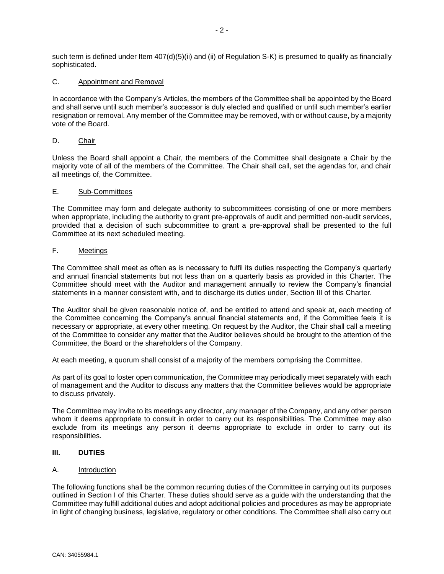such term is defined under Item 407(d)(5)(ii) and (ii) of Regulation S-K) is presumed to qualify as financially sophisticated.

### C. Appointment and Removal

In accordance with the Company's Articles, the members of the Committee shall be appointed by the Board and shall serve until such member's successor is duly elected and qualified or until such member's earlier resignation or removal. Any member of the Committee may be removed, with or without cause, by a majority vote of the Board.

## D. Chair

Unless the Board shall appoint a Chair, the members of the Committee shall designate a Chair by the majority vote of all of the members of the Committee. The Chair shall call, set the agendas for, and chair all meetings of, the Committee.

## E. Sub-Committees

The Committee may form and delegate authority to subcommittees consisting of one or more members when appropriate, including the authority to grant pre-approvals of audit and permitted non-audit services, provided that a decision of such subcommittee to grant a pre-approval shall be presented to the full Committee at its next scheduled meeting.

## F. Meetings

The Committee shall meet as often as is necessary to fulfil its duties respecting the Company's quarterly and annual financial statements but not less than on a quarterly basis as provided in this Charter. The Committee should meet with the Auditor and management annually to review the Company's financial statements in a manner consistent with, and to discharge its duties under, Section III of this Charter.

The Auditor shall be given reasonable notice of, and be entitled to attend and speak at, each meeting of the Committee concerning the Company's annual financial statements and, if the Committee feels it is necessary or appropriate, at every other meeting. On request by the Auditor, the Chair shall call a meeting of the Committee to consider any matter that the Auditor believes should be brought to the attention of the Committee, the Board or the shareholders of the Company.

At each meeting, a quorum shall consist of a majority of the members comprising the Committee.

As part of its goal to foster open communication, the Committee may periodically meet separately with each of management and the Auditor to discuss any matters that the Committee believes would be appropriate to discuss privately.

The Committee may invite to its meetings any director, any manager of the Company, and any other person whom it deems appropriate to consult in order to carry out its responsibilities. The Committee may also exclude from its meetings any person it deems appropriate to exclude in order to carry out its responsibilities.

### **III. DUTIES**

### A. Introduction

The following functions shall be the common recurring duties of the Committee in carrying out its purposes outlined in Section I of this Charter. These duties should serve as a guide with the understanding that the Committee may fulfill additional duties and adopt additional policies and procedures as may be appropriate in light of changing business, legislative, regulatory or other conditions. The Committee shall also carry out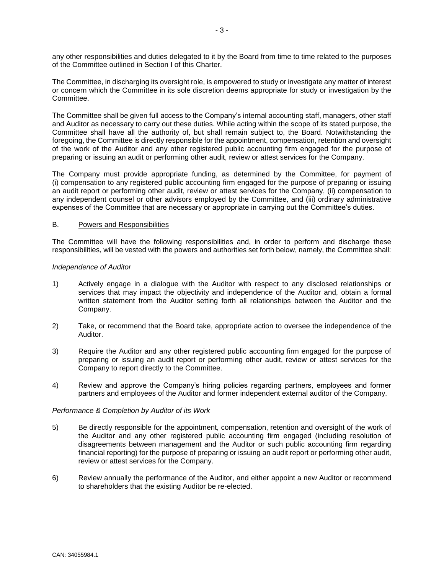any other responsibilities and duties delegated to it by the Board from time to time related to the purposes of the Committee outlined in Section I of this Charter.

The Committee, in discharging its oversight role, is empowered to study or investigate any matter of interest or concern which the Committee in its sole discretion deems appropriate for study or investigation by the Committee.

The Committee shall be given full access to the Company's internal accounting staff, managers, other staff and Auditor as necessary to carry out these duties. While acting within the scope of its stated purpose, the Committee shall have all the authority of, but shall remain subject to, the Board. Notwithstanding the foregoing, the Committee is directly responsible for the appointment, compensation, retention and oversight of the work of the Auditor and any other registered public accounting firm engaged for the purpose of preparing or issuing an audit or performing other audit, review or attest services for the Company.

The Company must provide appropriate funding, as determined by the Committee, for payment of (i) compensation to any registered public accounting firm engaged for the purpose of preparing or issuing an audit report or performing other audit, review or attest services for the Company, (ii) compensation to any independent counsel or other advisors employed by the Committee, and (iii) ordinary administrative expenses of the Committee that are necessary or appropriate in carrying out the Committee's duties.

#### B. Powers and Responsibilities

The Committee will have the following responsibilities and, in order to perform and discharge these responsibilities, will be vested with the powers and authorities set forth below, namely, the Committee shall:

#### *Independence of Auditor*

- 1) Actively engage in a dialogue with the Auditor with respect to any disclosed relationships or services that may impact the objectivity and independence of the Auditor and, obtain a formal written statement from the Auditor setting forth all relationships between the Auditor and the Company.
- 2) Take, or recommend that the Board take, appropriate action to oversee the independence of the Auditor.
- 3) Require the Auditor and any other registered public accounting firm engaged for the purpose of preparing or issuing an audit report or performing other audit, review or attest services for the Company to report directly to the Committee.
- 4) Review and approve the Company's hiring policies regarding partners, employees and former partners and employees of the Auditor and former independent external auditor of the Company.

### *Performance & Completion by Auditor of its Work*

- 5) Be directly responsible for the appointment, compensation, retention and oversight of the work of the Auditor and any other registered public accounting firm engaged (including resolution of disagreements between management and the Auditor or such public accounting firm regarding financial reporting) for the purpose of preparing or issuing an audit report or performing other audit, review or attest services for the Company.
- 6) Review annually the performance of the Auditor, and either appoint a new Auditor or recommend to shareholders that the existing Auditor be re-elected.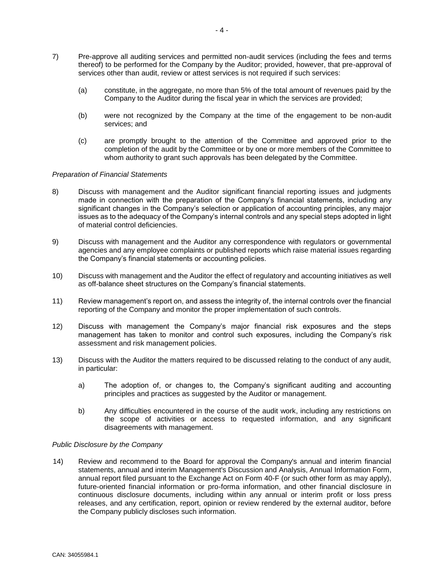- 7) Pre-approve all auditing services and permitted non-audit services (including the fees and terms thereof) to be performed for the Company by the Auditor; provided, however, that pre-approval of services other than audit, review or attest services is not required if such services:
	- (a) constitute, in the aggregate, no more than 5% of the total amount of revenues paid by the Company to the Auditor during the fiscal year in which the services are provided;
	- (b) were not recognized by the Company at the time of the engagement to be non-audit services; and
	- (c) are promptly brought to the attention of the Committee and approved prior to the completion of the audit by the Committee or by one or more members of the Committee to whom authority to grant such approvals has been delegated by the Committee.

### *Preparation of Financial Statements*

- 8) Discuss with management and the Auditor significant financial reporting issues and judgments made in connection with the preparation of the Company's financial statements, including any significant changes in the Company's selection or application of accounting principles, any major issues as to the adequacy of the Company's internal controls and any special steps adopted in light of material control deficiencies.
- 9) Discuss with management and the Auditor any correspondence with regulators or governmental agencies and any employee complaints or published reports which raise material issues regarding the Company's financial statements or accounting policies.
- 10) Discuss with management and the Auditor the effect of regulatory and accounting initiatives as well as off-balance sheet structures on the Company's financial statements.
- 11) Review management's report on, and assess the integrity of, the internal controls over the financial reporting of the Company and monitor the proper implementation of such controls.
- 12) Discuss with management the Company's major financial risk exposures and the steps management has taken to monitor and control such exposures, including the Company's risk assessment and risk management policies.
- 13) Discuss with the Auditor the matters required to be discussed relating to the conduct of any audit, in particular:
	- a) The adoption of, or changes to, the Company's significant auditing and accounting principles and practices as suggested by the Auditor or management.
	- b) Any difficulties encountered in the course of the audit work, including any restrictions on the scope of activities or access to requested information, and any significant disagreements with management.

#### *Public Disclosure by the Company*

 14) Review and recommend to the Board for approval the Company's annual and interim financial statements, annual and interim Management's Discussion and Analysis, Annual Information Form, annual report filed pursuant to the Exchange Act on Form 40-F (or such other form as may apply), future-oriented financial information or pro-forma information, and other financial disclosure in continuous disclosure documents, including within any annual or interim profit or loss press releases, and any certification, report, opinion or review rendered by the external auditor, before the Company publicly discloses such information.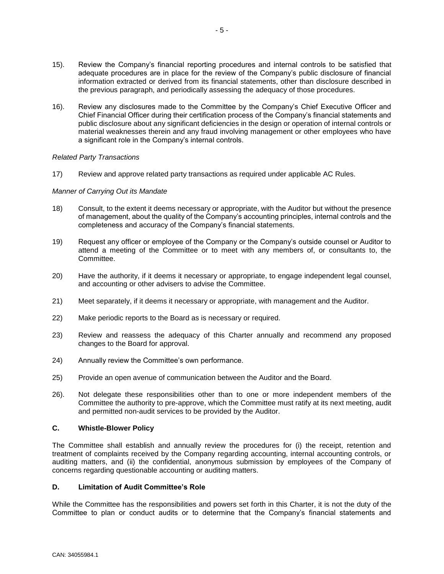- 15). Review the Company's financial reporting procedures and internal controls to be satisfied that adequate procedures are in place for the review of the Company's public disclosure of financial information extracted or derived from its financial statements, other than disclosure described in the previous paragraph, and periodically assessing the adequacy of those procedures.
- 16). Review any disclosures made to the Committee by the Company's Chief Executive Officer and Chief Financial Officer during their certification process of the Company's financial statements and public disclosure about any significant deficiencies in the design or operation of internal controls or material weaknesses therein and any fraud involving management or other employees who have a significant role in the Company's internal controls.

### *Related Party Transactions*

17) Review and approve related party transactions as required under applicable AC Rules.

### *Manner of Carrying Out its Mandate*

- 18) Consult, to the extent it deems necessary or appropriate, with the Auditor but without the presence of management, about the quality of the Company's accounting principles, internal controls and the completeness and accuracy of the Company's financial statements.
- 19) Request any officer or employee of the Company or the Company's outside counsel or Auditor to attend a meeting of the Committee or to meet with any members of, or consultants to, the Committee.
- 20) Have the authority, if it deems it necessary or appropriate, to engage independent legal counsel, and accounting or other advisers to advise the Committee.
- 21) Meet separately, if it deems it necessary or appropriate, with management and the Auditor.
- 22) Make periodic reports to the Board as is necessary or required.
- 23) Review and reassess the adequacy of this Charter annually and recommend any proposed changes to the Board for approval.
- 24) Annually review the Committee's own performance.
- 25) Provide an open avenue of communication between the Auditor and the Board.
- 26). Not delegate these responsibilities other than to one or more independent members of the Committee the authority to pre-approve, which the Committee must ratify at its next meeting, audit and permitted non-audit services to be provided by the Auditor.

### **C. Whistle-Blower Policy**

The Committee shall establish and annually review the procedures for (i) the receipt, retention and treatment of complaints received by the Company regarding accounting, internal accounting controls, or auditing matters, and (ii) the confidential, anonymous submission by employees of the Company of concerns regarding questionable accounting or auditing matters.

### **D. Limitation of Audit Committee's Role**

While the Committee has the responsibilities and powers set forth in this Charter, it is not the duty of the Committee to plan or conduct audits or to determine that the Company's financial statements and